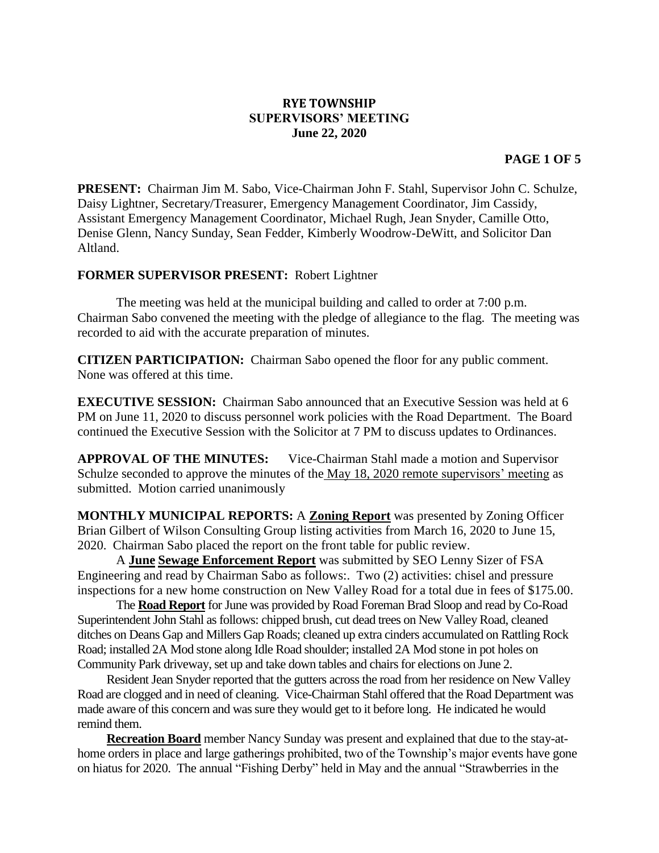## **RYE TOWNSHIP SUPERVISORS' MEETING June 22, 2020**

## **PAGE 1 OF 5**

**PRESENT:** Chairman Jim M. Sabo, Vice-Chairman John F. Stahl, Supervisor John C. Schulze, Daisy Lightner, Secretary/Treasurer, Emergency Management Coordinator, Jim Cassidy, Assistant Emergency Management Coordinator, Michael Rugh, Jean Snyder, Camille Otto, Denise Glenn, Nancy Sunday, Sean Fedder, Kimberly Woodrow-DeWitt, and Solicitor Dan Altland.

## **FORMER SUPERVISOR PRESENT:** Robert Lightner

The meeting was held at the municipal building and called to order at 7:00 p.m. Chairman Sabo convened the meeting with the pledge of allegiance to the flag. The meeting was recorded to aid with the accurate preparation of minutes.

**CITIZEN PARTICIPATION:** Chairman Sabo opened the floor for any public comment. None was offered at this time.

**EXECUTIVE SESSION:** Chairman Sabo announced that an Executive Session was held at 6 PM on June 11, 2020 to discuss personnel work policies with the Road Department. The Board continued the Executive Session with the Solicitor at 7 PM to discuss updates to Ordinances.

**APPROVAL OF THE MINUTES:** Vice-Chairman Stahl made a motion and Supervisor Schulze seconded to approve the minutes of the May 18, 2020 remote supervisors' meeting as submitted. Motion carried unanimously

**MONTHLY MUNICIPAL REPORTS:** A **Zoning Report** was presented by Zoning Officer Brian Gilbert of Wilson Consulting Group listing activities from March 16, 2020 to June 15, 2020. Chairman Sabo placed the report on the front table for public review.

A **June Sewage Enforcement Report** was submitted by SEO Lenny Sizer of FSA Engineering and read by Chairman Sabo as follows:. Two (2) activities: chisel and pressure inspections for a new home construction on New Valley Road for a total due in fees of \$175.00.

The **Road Report** for June was provided by Road Foreman Brad Sloop and read by Co-Road Superintendent John Stahl as follows: chipped brush, cut dead trees on New Valley Road, cleaned ditches on Deans Gap and Millers Gap Roads; cleaned up extra cinders accumulated on Rattling Rock Road; installed 2A Mod stone along Idle Road shoulder; installed 2A Mod stone in pot holes on Community Park driveway, set up and take down tables and chairs for elections on June 2.

Resident Jean Snyder reported that the gutters across the road from her residence on New Valley Road are clogged and in need of cleaning. Vice-Chairman Stahl offered that the Road Department was made aware of this concern and was sure they would get to it before long. He indicated he would remind them.

**Recreation Board** member Nancy Sunday was present and explained that due to the stay-athome orders in place and large gatherings prohibited, two of the Township's major events have gone on hiatus for 2020. The annual "Fishing Derby" held in May and the annual "Strawberries in the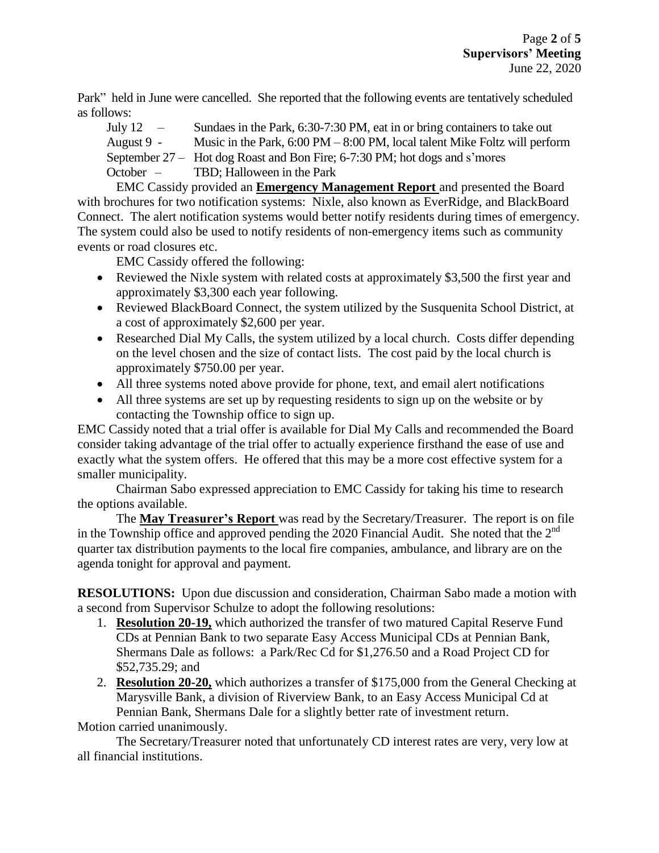Park" held in June were cancelled. She reported that the following events are tentatively scheduled as follows:

July 12 – Sundaes in the Park, 6:30-7:30 PM, eat in or bring containers to take out August 9 - Music in the Park, 6:00 PM – 8:00 PM, local talent Mike Foltz will perform September 27 – Hot dog Roast and Bon Fire; 6-7:30 PM; hot dogs and s'mores October – TBD; Halloween in the Park

EMC Cassidy provided an **Emergency Management Report** and presented the Board with brochures for two notification systems: Nixle, also known as EverRidge, and BlackBoard Connect. The alert notification systems would better notify residents during times of emergency. The system could also be used to notify residents of non-emergency items such as community events or road closures etc.

EMC Cassidy offered the following:

- Reviewed the Nixle system with related costs at approximately \$3,500 the first year and approximately \$3,300 each year following.
- Reviewed BlackBoard Connect, the system utilized by the Susquenita School District, at a cost of approximately \$2,600 per year.
- Researched Dial My Calls, the system utilized by a local church. Costs differ depending on the level chosen and the size of contact lists. The cost paid by the local church is approximately \$750.00 per year.
- All three systems noted above provide for phone, text, and email alert notifications
- All three systems are set up by requesting residents to sign up on the website or by contacting the Township office to sign up.

EMC Cassidy noted that a trial offer is available for Dial My Calls and recommended the Board consider taking advantage of the trial offer to actually experience firsthand the ease of use and exactly what the system offers. He offered that this may be a more cost effective system for a smaller municipality.

Chairman Sabo expressed appreciation to EMC Cassidy for taking his time to research the options available.

The **May Treasurer's Report** was read by the Secretary/Treasurer. The report is on file in the Township office and approved pending the 2020 Financial Audit. She noted that the  $2<sup>nd</sup>$ quarter tax distribution payments to the local fire companies, ambulance, and library are on the agenda tonight for approval and payment.

**RESOLUTIONS:** Upon due discussion and consideration, Chairman Sabo made a motion with a second from Supervisor Schulze to adopt the following resolutions:

- 1. **Resolution 20-19,** which authorized the transfer of two matured Capital Reserve Fund CDs at Pennian Bank to two separate Easy Access Municipal CDs at Pennian Bank, Shermans Dale as follows: a Park/Rec Cd for \$1,276.50 and a Road Project CD for \$52,735.29; and
- 2. **Resolution 20-20,** which authorizes a transfer of \$175,000 from the General Checking at Marysville Bank, a division of Riverview Bank, to an Easy Access Municipal Cd at Pennian Bank, Shermans Dale for a slightly better rate of investment return.

Motion carried unanimously.

The Secretary/Treasurer noted that unfortunately CD interest rates are very, very low at all financial institutions.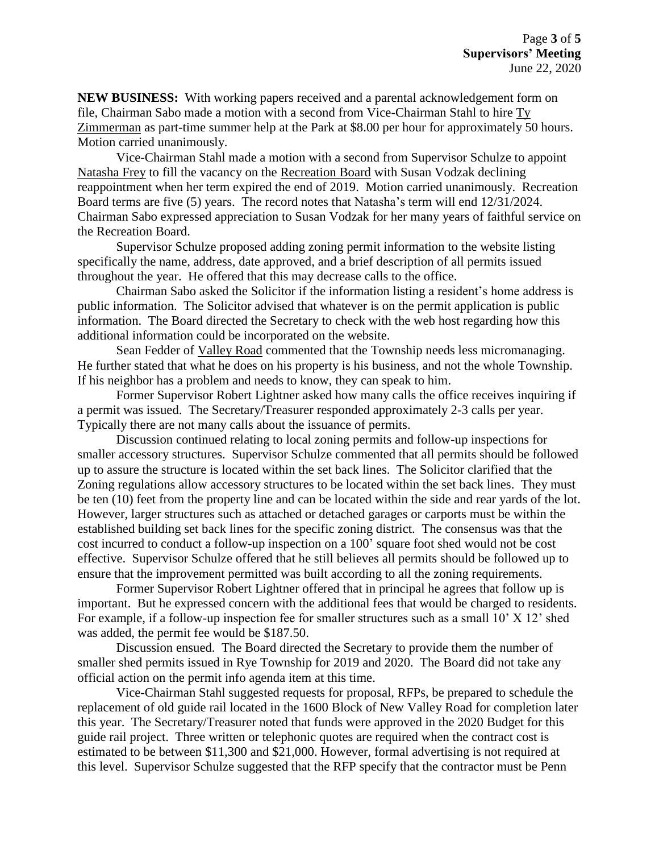**NEW BUSINESS:** With working papers received and a parental acknowledgement form on file, Chairman Sabo made a motion with a second from Vice-Chairman Stahl to hire Ty Zimmerman as part-time summer help at the Park at \$8.00 per hour for approximately 50 hours. Motion carried unanimously.

Vice-Chairman Stahl made a motion with a second from Supervisor Schulze to appoint Natasha Frey to fill the vacancy on the Recreation Board with Susan Vodzak declining reappointment when her term expired the end of 2019. Motion carried unanimously. Recreation Board terms are five (5) years. The record notes that Natasha's term will end 12/31/2024. Chairman Sabo expressed appreciation to Susan Vodzak for her many years of faithful service on the Recreation Board.

Supervisor Schulze proposed adding zoning permit information to the website listing specifically the name, address, date approved, and a brief description of all permits issued throughout the year. He offered that this may decrease calls to the office.

Chairman Sabo asked the Solicitor if the information listing a resident's home address is public information. The Solicitor advised that whatever is on the permit application is public information. The Board directed the Secretary to check with the web host regarding how this additional information could be incorporated on the website.

Sean Fedder of Valley Road commented that the Township needs less micromanaging. He further stated that what he does on his property is his business, and not the whole Township. If his neighbor has a problem and needs to know, they can speak to him.

Former Supervisor Robert Lightner asked how many calls the office receives inquiring if a permit was issued. The Secretary/Treasurer responded approximately 2-3 calls per year. Typically there are not many calls about the issuance of permits.

Discussion continued relating to local zoning permits and follow-up inspections for smaller accessory structures. Supervisor Schulze commented that all permits should be followed up to assure the structure is located within the set back lines. The Solicitor clarified that the Zoning regulations allow accessory structures to be located within the set back lines. They must be ten (10) feet from the property line and can be located within the side and rear yards of the lot. However, larger structures such as attached or detached garages or carports must be within the established building set back lines for the specific zoning district. The consensus was that the cost incurred to conduct a follow-up inspection on a 100' square foot shed would not be cost effective. Supervisor Schulze offered that he still believes all permits should be followed up to ensure that the improvement permitted was built according to all the zoning requirements.

Former Supervisor Robert Lightner offered that in principal he agrees that follow up is important. But he expressed concern with the additional fees that would be charged to residents. For example, if a follow-up inspection fee for smaller structures such as a small 10' X 12' shed was added, the permit fee would be \$187.50.

Discussion ensued. The Board directed the Secretary to provide them the number of smaller shed permits issued in Rye Township for 2019 and 2020. The Board did not take any official action on the permit info agenda item at this time.

Vice-Chairman Stahl suggested requests for proposal, RFPs, be prepared to schedule the replacement of old guide rail located in the 1600 Block of New Valley Road for completion later this year. The Secretary/Treasurer noted that funds were approved in the 2020 Budget for this guide rail project. Three written or telephonic quotes are required when the contract cost is estimated to be between \$11,300 and \$21,000. However, formal advertising is not required at this level. Supervisor Schulze suggested that the RFP specify that the contractor must be Penn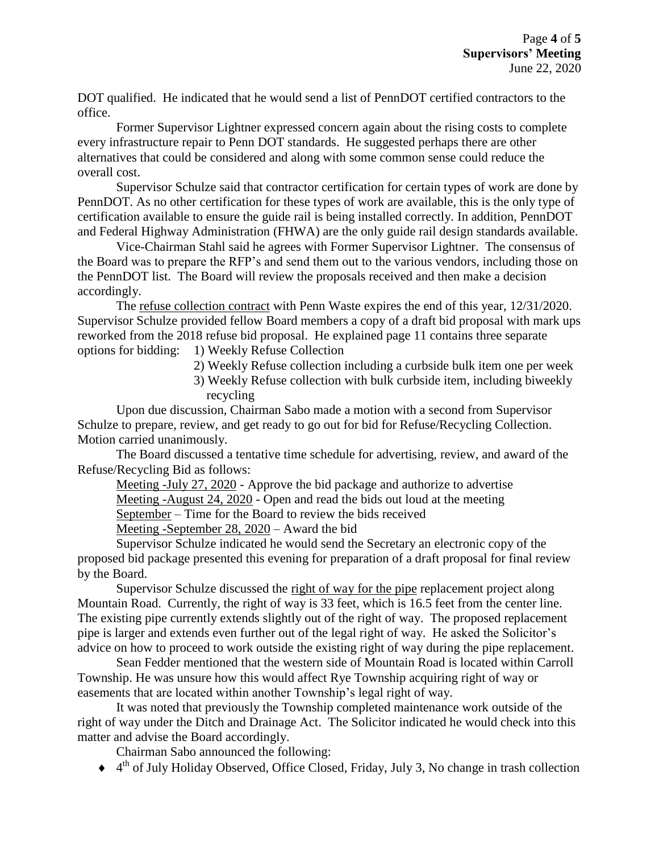DOT qualified. He indicated that he would send a list of PennDOT certified contractors to the office.

Former Supervisor Lightner expressed concern again about the rising costs to complete every infrastructure repair to Penn DOT standards. He suggested perhaps there are other alternatives that could be considered and along with some common sense could reduce the overall cost.

Supervisor Schulze said that contractor certification for certain types of work are done by PennDOT. As no other certification for these types of work are available, this is the only type of certification available to ensure the guide rail is being installed correctly. In addition, PennDOT and Federal Highway Administration (FHWA) are the only guide rail design standards available.

Vice-Chairman Stahl said he agrees with Former Supervisor Lightner. The consensus of the Board was to prepare the RFP's and send them out to the various vendors, including those on the PennDOT list. The Board will review the proposals received and then make a decision accordingly.

The refuse collection contract with Penn Waste expires the end of this year, 12/31/2020. Supervisor Schulze provided fellow Board members a copy of a draft bid proposal with mark ups reworked from the 2018 refuse bid proposal. He explained page 11 contains three separate options for bidding: 1) Weekly Refuse Collection

- 2) Weekly Refuse collection including a curbside bulk item one per week
- 3) Weekly Refuse collection with bulk curbside item, including biweekly recycling

Upon due discussion, Chairman Sabo made a motion with a second from Supervisor Schulze to prepare, review, and get ready to go out for bid for Refuse/Recycling Collection. Motion carried unanimously.

The Board discussed a tentative time schedule for advertising, review, and award of the Refuse/Recycling Bid as follows:

Meeting -July 27, 2020 - Approve the bid package and authorize to advertise Meeting -August 24, 2020 - Open and read the bids out loud at the meeting September – Time for the Board to review the bids received Meeting -September 28, 2020 – Award the bid

Supervisor Schulze indicated he would send the Secretary an electronic copy of the proposed bid package presented this evening for preparation of a draft proposal for final review by the Board.

Supervisor Schulze discussed the right of way for the pipe replacement project along Mountain Road. Currently, the right of way is 33 feet, which is 16.5 feet from the center line. The existing pipe currently extends slightly out of the right of way. The proposed replacement pipe is larger and extends even further out of the legal right of way. He asked the Solicitor's advice on how to proceed to work outside the existing right of way during the pipe replacement.

Sean Fedder mentioned that the western side of Mountain Road is located within Carroll Township. He was unsure how this would affect Rye Township acquiring right of way or easements that are located within another Township's legal right of way.

It was noted that previously the Township completed maintenance work outside of the right of way under the Ditch and Drainage Act. The Solicitor indicated he would check into this matter and advise the Board accordingly.

Chairman Sabo announced the following:

◆ 4<sup>th</sup> of July Holiday Observed, Office Closed, Friday, July 3, No change in trash collection